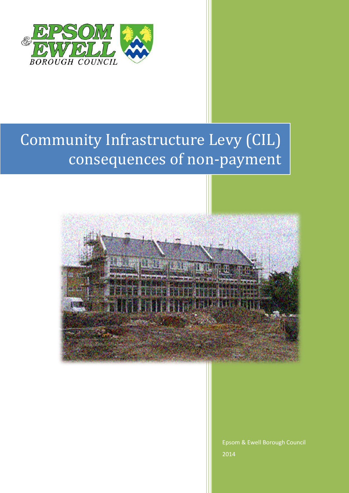

# Community Infrastructure Levy (CIL) consequences of non-payment



Epsom & Ewell Borough Council 2014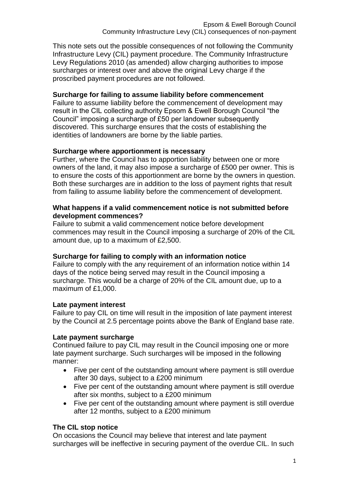This note sets out the possible consequences of not following the Community Infrastructure Levy (CIL) payment procedure. The Community Infrastructure Levy Regulations 2010 (as amended) allow charging authorities to impose surcharges or interest over and above the original Levy charge if the proscribed payment procedures are not followed.

## **Surcharge for failing to assume liability before commencement**

Failure to assume liability before the commencement of development may result in the CIL collecting authority Epsom & Ewell Borough Council "the Council" imposing a surcharge of £50 per landowner subsequently discovered. This surcharge ensures that the costs of establishing the identities of landowners are borne by the liable parties.

## **Surcharge where apportionment is necessary**

Further, where the Council has to apportion liability between one or more owners of the land, it may also impose a surcharge of £500 per owner. This is to ensure the costs of this apportionment are borne by the owners in question. Both these surcharges are in addition to the loss of payment rights that result from failing to assume liability before the commencement of development.

#### **What happens if a valid commencement notice is not submitted before development commences?**

Failure to submit a valid commencement notice before development commences may result in the Council imposing a surcharge of 20% of the CIL amount due, up to a maximum of £2,500.

## **Surcharge for failing to comply with an information notice**

Failure to comply with the any requirement of an information notice within 14 days of the notice being served may result in the Council imposing a surcharge. This would be a charge of 20% of the CIL amount due, up to a maximum of £1,000.

## **Late payment interest**

Failure to pay CIL on time will result in the imposition of late payment interest by the Council at 2.5 percentage points above the Bank of England base rate.

#### **Late payment surcharge**

Continued failure to pay CIL may result in the Council imposing one or more late payment surcharge. Such surcharges will be imposed in the following manner:

- Five per cent of the outstanding amount where payment is still overdue after 30 days, subject to a £200 minimum
- Five per cent of the outstanding amount where payment is still overdue after six months, subject to a £200 minimum
- Five per cent of the outstanding amount where payment is still overdue after 12 months, subject to a £200 minimum

## **The CIL stop notice**

On occasions the Council may believe that interest and late payment surcharges will be ineffective in securing payment of the overdue CIL. In such